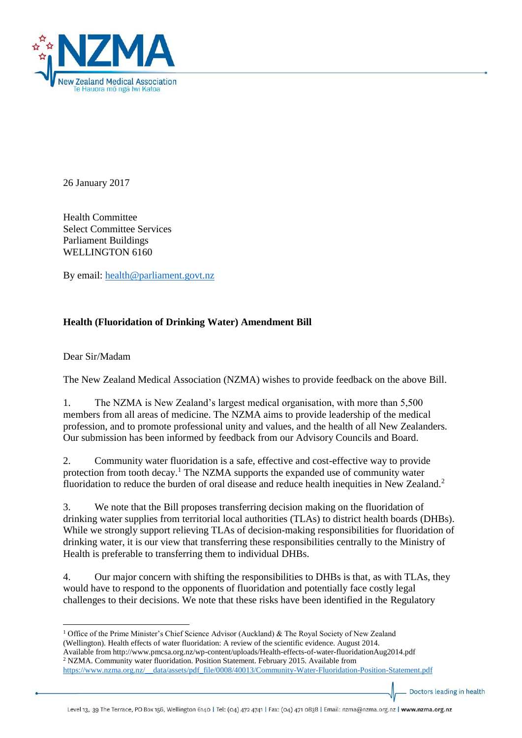

26 January 2017

Health Committee Select Committee Services Parliament Buildings WELLINGTON 6160

By email: [health@parliament.govt.nz](mailto:health@parliament.govt.nz)

## **Health (Fluoridation of Drinking Water) Amendment Bill**

Dear Sir/Madam

The New Zealand Medical Association (NZMA) wishes to provide feedback on the above Bill.

1. The NZMA is New Zealand's largest medical organisation, with more than 5,500 members from all areas of medicine. The NZMA aims to provide leadership of the medical profession, and to promote professional unity and values, and the health of all New Zealanders. Our submission has been informed by feedback from our Advisory Councils and Board.

2. Community water fluoridation is a safe, effective and cost-effective way to provide protection from tooth decay.<sup>1</sup> The NZMA supports the expanded use of community water fluoridation to reduce the burden of oral disease and reduce health inequities in New Zealand.<sup>2</sup>

3. We note that the Bill proposes transferring decision making on the fluoridation of drinking water supplies from territorial local authorities (TLAs) to district health boards (DHBs). While we strongly support relieving TLAs of decision-making responsibilities for fluoridation of drinking water, it is our view that transferring these responsibilities centrally to the Ministry of Health is preferable to transferring them to individual DHBs.

4. Our major concern with shifting the responsibilities to DHBs is that, as with TLAs, they would have to respond to the opponents of fluoridation and potentially face costly legal challenges to their decisions. We note that these risks have been identified in the Regulatory

 $\overline{a}$ <sup>1</sup> Office of the Prime Minister's Chief Science Advisor (Auckland) & The Royal Society of New Zealand (Wellington). Health effects of water fluoridation: A review of the scientific evidence. August 2014. Available from http://www.pmcsa.org.nz/wp-content/uploads/Health-effects-of-water-fluoridationAug2014.pdf <sup>2</sup> NZMA. Community water fluoridation. Position Statement. February 2015. Available from [https://www.nzma.org.nz/\\_\\_data/assets/pdf\\_file/0008/40013/Community-Water-Fluoridation-Position-Statement.pdf](https://www.nzma.org.nz/__data/assets/pdf_file/0008/40013/Community-Water-Fluoridation-Position-Statement.pdf)

Doctors leading in health